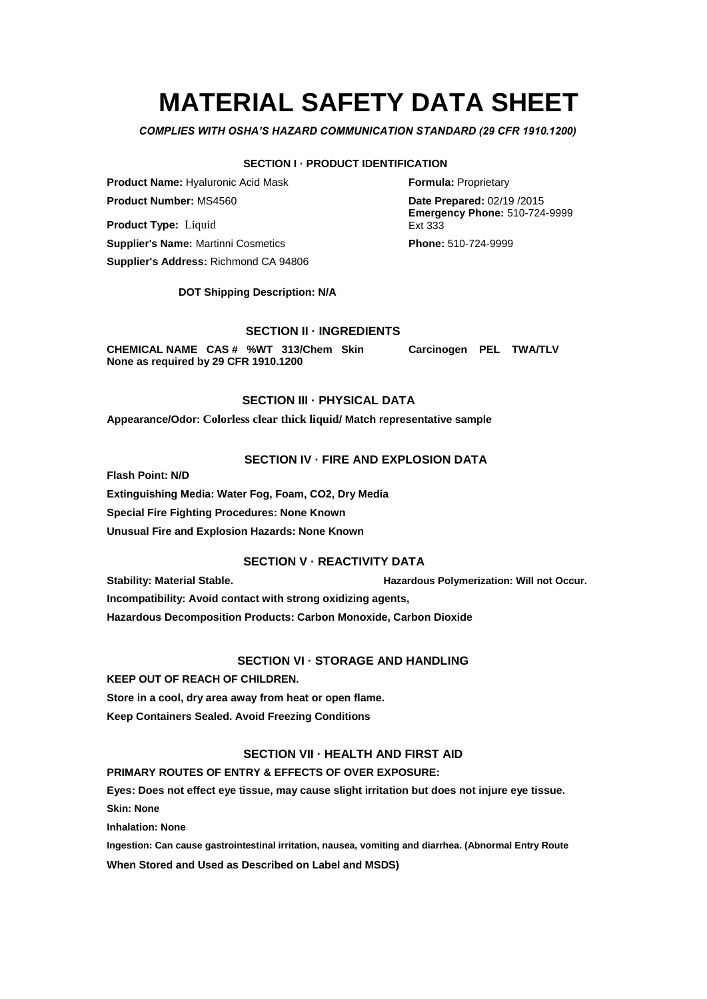# **MATERIAL SAFETY DATA SHEET**

*COMPLIES WITH OSHA'S HAZARD COMMUNICATION STANDARD (29 CFR 1910.1200)*

## **SECTION I · PRODUCT IDENTIFICATION**

**Product Name:** Hyaluronic Acid Mask **Formula:** Proprietary **Product Number:** MS4560 **Date Prepared:** 02/19 /2015

**Product Type:** Liquid **Supplier's Name:** Martinni Cosmetics **Phone:** 510-724-9999 **Supplier's Address:** Richmond CA 94806

**DOT Shipping Description: N/A**

# **SECTION II · INGREDIENTS**

**CHEMICAL NAME CAS # %WT 313/Chem Skin Carcinogen PEL TWA/TLV None as required by 29 CFR 1910.1200**

# **SECTION III · PHYSICAL DATA**

**Appearance/Odor: Colorless clear thick liquid/ Match representative sample**

# **SECTION IV · FIRE AND EXPLOSION DATA**

**Flash Point: N/D**

**Extinguishing Media: Water Fog, Foam, CO2, Dry Media Special Fire Fighting Procedures: None Known Unusual Fire and Explosion Hazards: None Known**

# **SECTION V · REACTIVITY DATA**

**Stability: Material Stable. Hazardous Polymerization: Will not Occur.**

**Incompatibility: Avoid contact with strong oxidizing agents,**

**Hazardous Decomposition Products: Carbon Monoxide, Carbon Dioxide**

# **SECTION VI - STORAGE AND HANDLING**

**KEEP OUT OF REACH OF CHILDREN.**

**Store in a cool, dry area away from heat or open flame.**

**Keep Containers Sealed. Avoid Freezing Conditions**

# **SECTION VII · HEALTH AND FIRST AID**

**PRIMARY ROUTES OF ENTRY & EFFECTS OF OVER EXPOSURE:**

**Eyes: Does not effect eye tissue, may cause slight irritation but does not injure eye tissue.**

**Skin: None** 

**Inhalation: None**

**Ingestion: Can cause gastrointestinal irritation, nausea, vomiting and diarrhea. (Abnormal Entry Route**

**When Stored and Used as Described on Label and MSDS)**

**Emergency Phone:** 510-724-9999 Ext 333